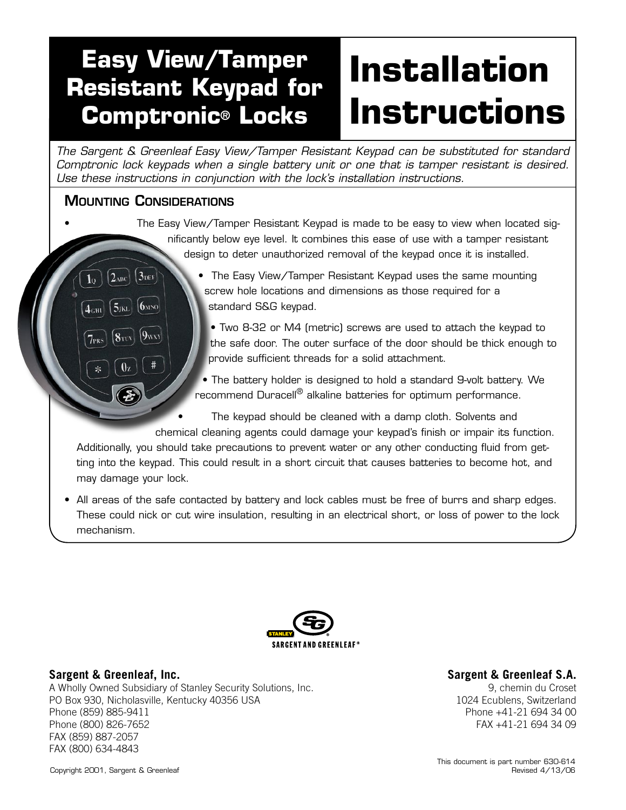# **Installation Instructions Easy View/Tamper Resistant Keypad for Comptronic® Locks**

*The Sargent & Greenleaf Easy View/Tamper Resistant Keypad can be substituted for standard Comptronic lock keypads when a single battery unit or one that is tamper resistant is desired. Use these instructions in conjunction with the lock's installation instructions.*

# Mounting Considerations

 $3<sub>DEF</sub>$ 

 $6$ <sub>MNO</sub>

 $\mathbf{9}_{\rm WXY}$ 

 $|2$ <sub>ABC</sub>

 $5_{IKL}$ 

 $8<sub>TO</sub>$ 

 $1<sub>0</sub>$ 

 $4<sub>GHI</sub>$ 

- The Easy View/Tamper Resistant Keypad is made to be easy to view when located significantly below eye level. It combines this ease of use with a tamper resistant design to deter unauthorized removal of the keypad once it is installed.
	- The Easy View/Tamper Resistant Keypad uses the same mounting screw hole locations and dimensions as those required for a standard S&G keypad.
		- Two 8-32 or M4 (metric) screws are used to attach the keypad to the safe door. The outer surface of the door should be thick enough to provide sufficient threads for a solid attachment.

• The battery holder is designed to hold a standard 9-volt battery. We recommend Duracell<sup>®</sup> alkaline batteries for optimum performance.

The keypad should be cleaned with a damp cloth. Solvents and chemical cleaning agents could damage your keypad's finish or impair its function.

Additionally, you should take precautions to prevent water or any other conducting fluid from getting into the keypad. This could result in a short circuit that causes batteries to become hot, and may damage your lock.

• All areas of the safe contacted by battery and lock cables must be free of burrs and sharp edges. These could nick or cut wire insulation, resulting in an electrical short, or loss of power to the lock mechanism.



# **Sargent & Greenleaf, Inc.**

A Wholly Owned Subsidiary of Stanley Security Solutions, Inc. PO Box 930, Nicholasville, Kentucky 40356 USA Phone (859) 885-9411 Phone (800) 826-7652 FAX (859) 887-2057 FAX (800) 634-4843

#### **Sargent & Greenleaf S.A.**

9, chemin du Croset 1024 Ecublens, Switzerland Phone +41-21 694 34 00 FAX +41-21 694 34 09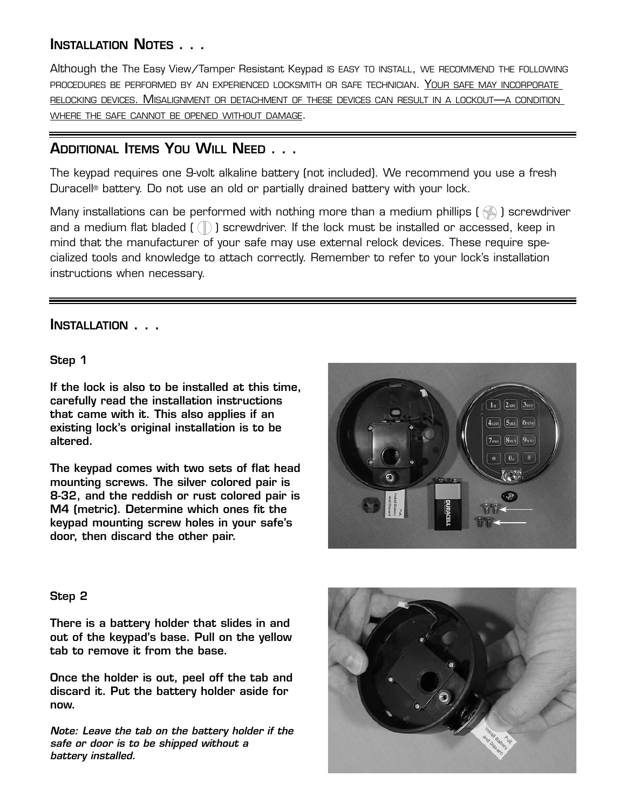# Installation Notes . . .

Although the The Easy View/Tamper Resistant Keypad is easy to install, we recommend the following procedures be performed by an experienced locksmith or safe technician. Your safe may incorporate relocking devices. Misalignment or detachment of these devices can result in a lockout—a condition where the safe cannot be opened without damage.

# Additional Items You Will Need . . .

The keypad requires one 9-volt alkaline battery (not included). We recommend you use a fresh Duracell® battery. Do not use an old or partially drained battery with your lock.

Many installations can be performed with nothing more than a medium phillips ( $\otimes$ ) screwdriver and a medium flat bladed  $(\text{ }(\mathbb{T})$  screwdriver. If the lock must be installed or accessed, keep in mind that the manufacturer of your safe may use external relock devices. These require specialized tools and knowledge to attach correctly. Remember to refer to your lock's installation instructions when necessary.

# Installation . . .

Step 1

If the lock is also to be installed at this time, carefully read the installation instructions that came with it. This also applies if an existing lock's original installation is to be altered.

The keypad comes with two sets of flat head mounting screws. The silver colored pair is 8-32, and the reddish or rust colored pair is M4 (metric). Determine which ones fit the keypad mounting screw holes in your safe's door, then discard the other pair.



# Step 2

There is a battery holder that slides in and out of the keypad's base. Pull on the yellow tab to remove it from the base.

Once the holder is out, peel off the tab and discard it. Put the battery holder aside for now.

*Note: Leave the tab on the battery holder if the safe or door is to be shipped without a battery installed.*

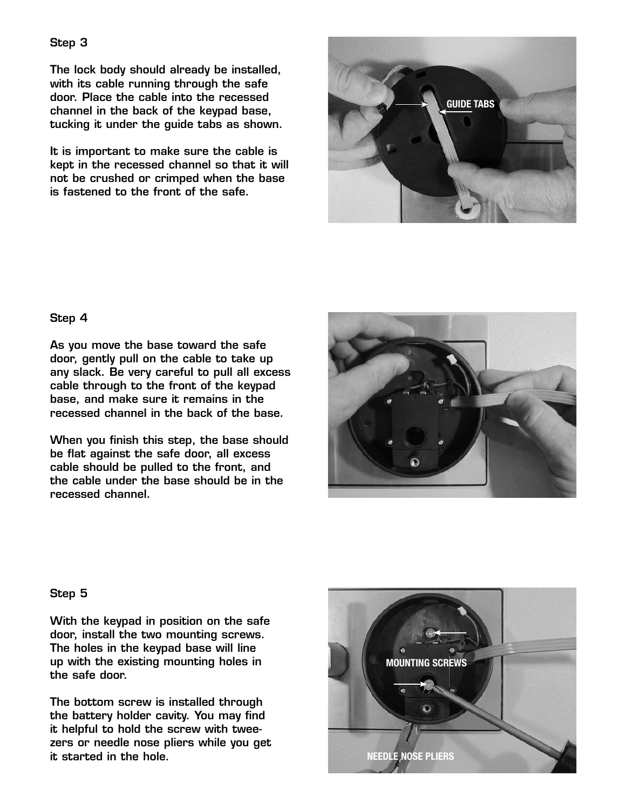The lock body should already be installed, with its cable running through the safe door. Place the cable into the recessed channel in the back of the keypad base, tucking it under the guide tabs as shown.

It is important to make sure the cable is kept in the recessed channel so that it will not be crushed or crimped when the base is fastened to the front of the safe.



#### Step 4

As you move the base toward the safe door, gently pull on the cable to take up any slack. Be very careful to pull all excess cable through to the front of the keypad base, and make sure it remains in the recessed channel in the back of the base.

When you finish this step, the base should be flat against the safe door, all excess cable should be pulled to the front, and the cable under the base should be in the recessed channel.



# Step 5

With the keypad in position on the safe door, install the two mounting screws. The holes in the keypad base will line up with the existing mounting holes in the safe door.

The bottom screw is installed through the battery holder cavity. You may find it helpful to hold the screw with tweezers or needle nose pliers while you get it started in the hole.

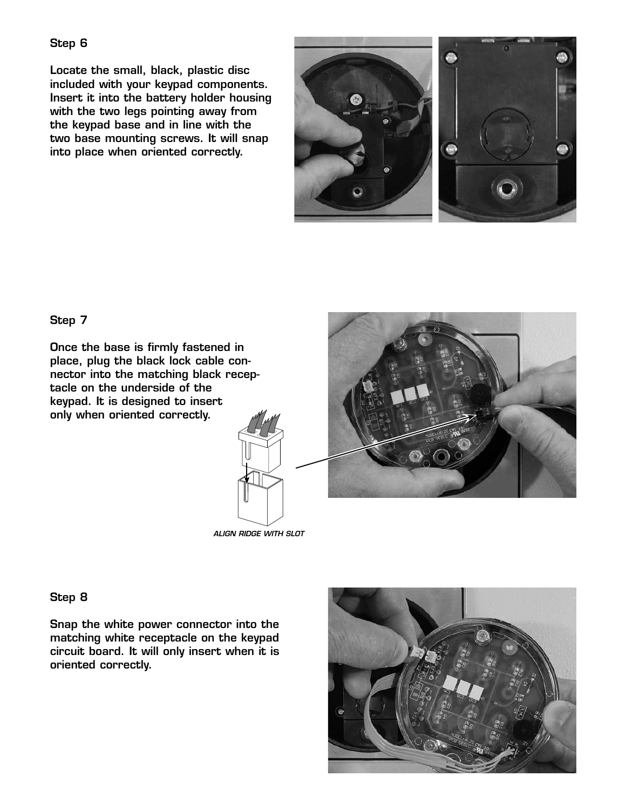Locate the small, black, plastic disc included with your keypad components. Insert it into the battery holder housing with the two legs pointing away from the keypad base and in line with the two base mounting screws. It will snap into place when oriented correctly.



Step 7

Once the base is firmly fastened in place, plug the black lock cable connector into the matching black receptacle on the underside of the keypad. It is designed to insert only when oriented correctly.



*ALIGN RIDGE WITH SLOT*

Step 8

Snap the white power connector into the matching white receptacle on the keypad circuit board. It will only insert when it is oriented correctly.

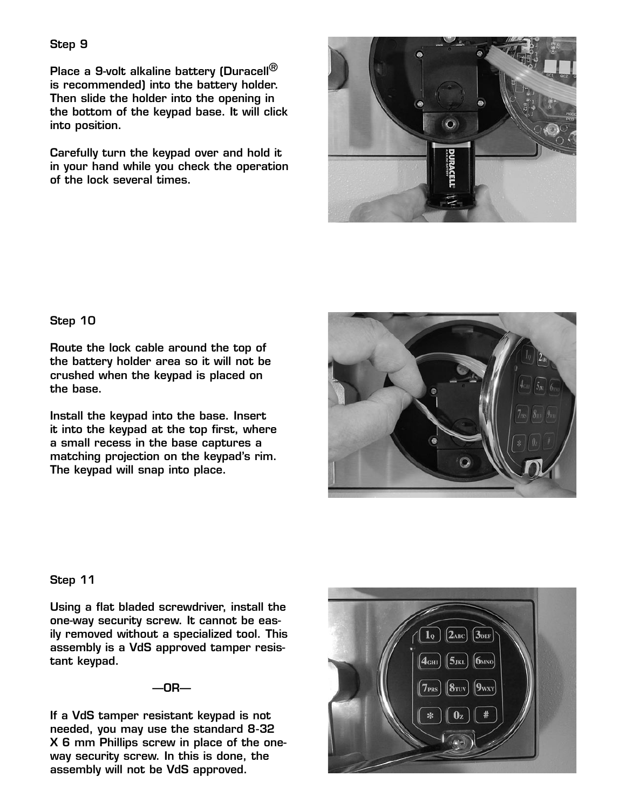Place a 9-volt alkaline battery (Duracell<sup>®</sup> is recommended) into the battery holder. Then slide the holder into the opening in the bottom of the keypad base. It will click into position.

Carefully turn the keypad over and hold it in your hand while you check the operation of the lock several times.



#### Step 10

Route the lock cable around the top of the battery holder area so it will not be crushed when the keypad is placed on the base.

Install the keypad into the base. Insert it into the keypad at the top first, where a small recess in the base captures a matching projection on the keypad's rim. The keypad will snap into place.



#### Step 11

Using a flat bladed screwdriver, install the one-way security screw. It cannot be easily removed without a specialized tool. This assembly is a VdS approved tamper resistant keypad.

 $-$ OR $-$ 

If a VdS tamper resistant keypad is not needed, you may use the standard 8-32 X 6 mm Phillips screw in place of the oneway security screw. In this is done, the assembly will not be VdS approved.